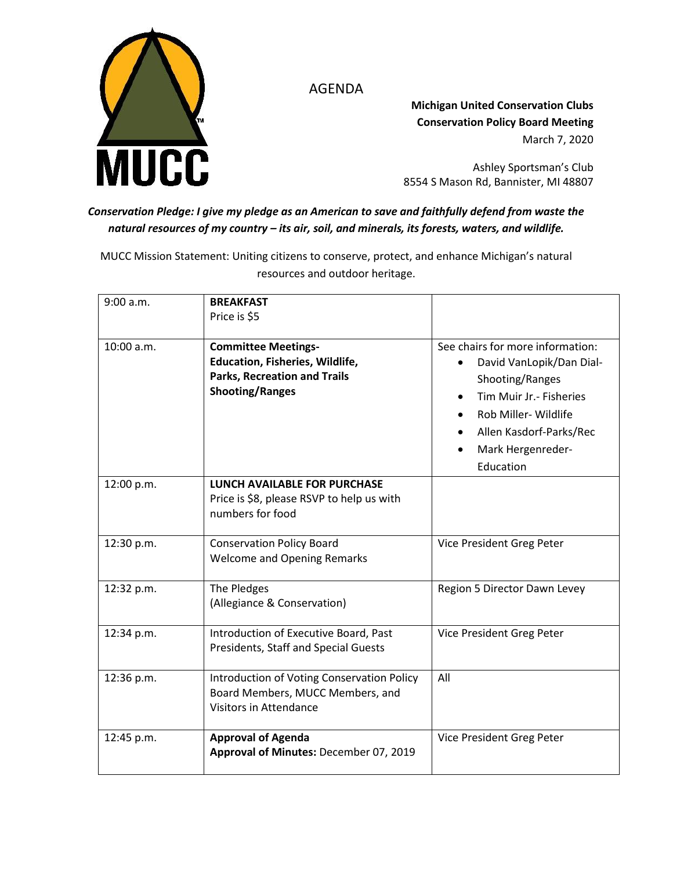



**Michigan United Conservation Clubs Conservation Policy Board Meeting** March 7, 2020

Ashley Sportsman's Club 8554 S Mason Rd, Bannister, MI 48807

## *Conservation Pledge: I give my pledge as an American to save and faithfully defend from waste the natural resources of my country – its air, soil, and minerals, its forests, waters, and wildlife.*

MUCC Mission Statement: Uniting citizens to conserve, protect, and enhance Michigan's natural resources and outdoor heritage.

| 9:00 a.m.  | <b>BREAKFAST</b><br>Price is \$5                                                                                               |                                                                                                                                                                                                  |
|------------|--------------------------------------------------------------------------------------------------------------------------------|--------------------------------------------------------------------------------------------------------------------------------------------------------------------------------------------------|
| 10:00 a.m. | <b>Committee Meetings-</b><br>Education, Fisheries, Wildlife,<br><b>Parks, Recreation and Trails</b><br><b>Shooting/Ranges</b> | See chairs for more information:<br>David VanLopik/Dan Dial-<br>Shooting/Ranges<br>Tim Muir Jr. - Fisheries<br>Rob Miller- Wildlife<br>Allen Kasdorf-Parks/Rec<br>Mark Hergenreder-<br>Education |
| 12:00 p.m. | <b>LUNCH AVAILABLE FOR PURCHASE</b><br>Price is \$8, please RSVP to help us with<br>numbers for food                           |                                                                                                                                                                                                  |
| 12:30 p.m. | <b>Conservation Policy Board</b><br><b>Welcome and Opening Remarks</b>                                                         | Vice President Greg Peter                                                                                                                                                                        |
| 12:32 p.m. | The Pledges<br>(Allegiance & Conservation)                                                                                     | Region 5 Director Dawn Levey                                                                                                                                                                     |
| 12:34 p.m. | Introduction of Executive Board, Past<br><b>Presidents, Staff and Special Guests</b>                                           | Vice President Greg Peter                                                                                                                                                                        |
| 12:36 p.m. | Introduction of Voting Conservation Policy<br>Board Members, MUCC Members, and<br><b>Visitors in Attendance</b>                | All                                                                                                                                                                                              |
| 12:45 p.m. | <b>Approval of Agenda</b><br>Approval of Minutes: December 07, 2019                                                            | Vice President Greg Peter                                                                                                                                                                        |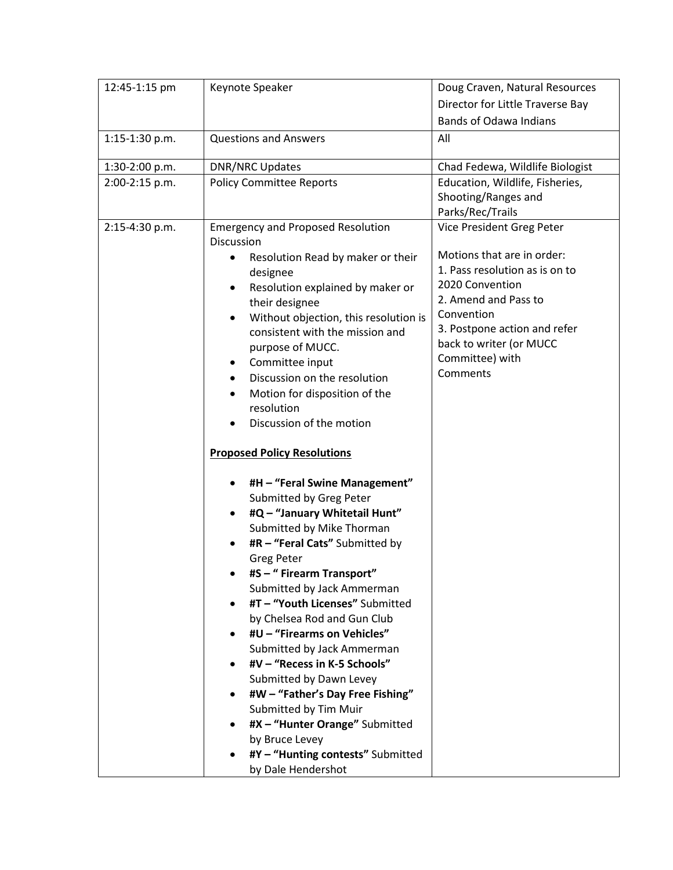| 12:45-1:15 pm  | Keynote Speaker                                            | Doug Craven, Natural Resources                          |
|----------------|------------------------------------------------------------|---------------------------------------------------------|
|                |                                                            | Director for Little Traverse Bay                        |
|                |                                                            | <b>Bands of Odawa Indians</b>                           |
| 1:15-1:30 p.m. | <b>Questions and Answers</b>                               | All                                                     |
|                |                                                            |                                                         |
| 1:30-2:00 p.m. | <b>DNR/NRC Updates</b>                                     | Chad Fedewa, Wildlife Biologist                         |
| 2:00-2:15 p.m. | <b>Policy Committee Reports</b>                            | Education, Wildlife, Fisheries,<br>Shooting/Ranges and  |
|                |                                                            | Parks/Rec/Trails                                        |
| 2:15-4:30 p.m. | <b>Emergency and Proposed Resolution</b>                   | Vice President Greg Peter                               |
|                | <b>Discussion</b>                                          |                                                         |
|                | Resolution Read by maker or their                          | Motions that are in order:                              |
|                | designee                                                   | 1. Pass resolution as is on to                          |
|                | Resolution explained by maker or<br>$\bullet$              | 2020 Convention                                         |
|                | their designee                                             | 2. Amend and Pass to                                    |
|                | Without objection, this resolution is<br>٠                 | Convention                                              |
|                | consistent with the mission and                            | 3. Postpone action and refer<br>back to writer (or MUCC |
|                | purpose of MUCC.                                           | Committee) with                                         |
|                | Committee input<br>٠                                       | Comments                                                |
|                | Discussion on the resolution                               |                                                         |
|                | Motion for disposition of the<br>$\bullet$                 |                                                         |
|                | resolution<br>Discussion of the motion                     |                                                         |
|                |                                                            |                                                         |
|                | <b>Proposed Policy Resolutions</b>                         |                                                         |
|                | #H - "Feral Swine Management"<br>٠                         |                                                         |
|                | Submitted by Greg Peter                                    |                                                         |
|                | #Q - "January Whitetail Hunt"<br>٠                         |                                                         |
|                | Submitted by Mike Thorman                                  |                                                         |
|                | #R - "Feral Cats" Submitted by                             |                                                         |
|                | Greg Peter                                                 |                                                         |
|                | #S - " Firearm Transport"                                  |                                                         |
|                | Submitted by Jack Ammerman                                 |                                                         |
|                | #T - "Youth Licenses" Submitted                            |                                                         |
|                | by Chelsea Rod and Gun Club                                |                                                         |
|                | #U - "Firearms on Vehicles"                                |                                                         |
|                | Submitted by Jack Ammerman<br>#V - "Recess in K-5 Schools" |                                                         |
|                | Submitted by Dawn Levey                                    |                                                         |
|                | #W - "Father's Day Free Fishing"                           |                                                         |
|                | Submitted by Tim Muir                                      |                                                         |
|                | #X - "Hunter Orange" Submitted                             |                                                         |
|                | by Bruce Levey                                             |                                                         |
|                | #Y - "Hunting contests" Submitted                          |                                                         |
|                | by Dale Hendershot                                         |                                                         |